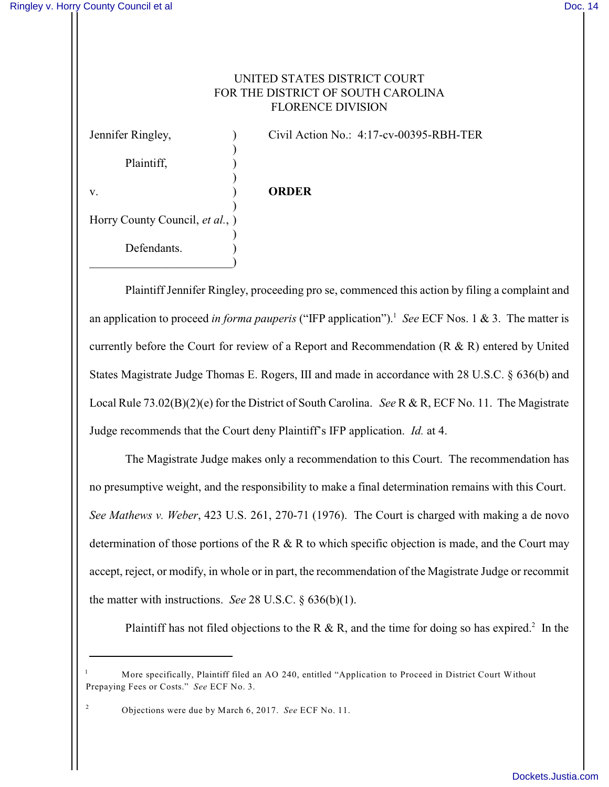## UNITED STATES DISTRICT COURT FOR THE DISTRICT OF SOUTH CAROLINA FLORENCE DIVISION

) Plaintiff,  $\qquad \qquad$ ) ) v. ) **ORDER** ) Horry County Council, *et al.*, ) ) Defendants.  $\qquad \qquad \qquad \Box$ 

Jennifer Ringley, ) Civil Action No.: 4:17-cv-00395-RBH-TER

Plaintiff Jennifer Ringley, proceeding pro se, commenced this action by filing a complaint and an application to proceed *in forma pauperis* ("IFP application").<sup>1</sup> See ECF Nos. 1 & 3. The matter is currently before the Court for review of a Report and Recommendation (R & R) entered by United States Magistrate Judge Thomas E. Rogers, III and made in accordance with 28 U.S.C. § 636(b) and Local Rule 73.02(B)(2)(e) for the District of South Carolina. *See* R & R, ECF No. 11. The Magistrate Judge recommends that the Court deny Plaintiff's IFP application. *Id.* at 4.

The Magistrate Judge makes only a recommendation to this Court. The recommendation has no presumptive weight, and the responsibility to make a final determination remains with this Court. *See Mathews v. Weber*, 423 U.S. 261, 270-71 (1976). The Court is charged with making a de novo determination of those portions of the R  $\&$  R to which specific objection is made, and the Court may accept, reject, or modify, in whole or in part, the recommendation of the Magistrate Judge or recommit the matter with instructions. *See* 28 U.S.C. § 636(b)(1).

Plaintiff has not filed objections to the R & R, and the time for doing so has expired.<sup>2</sup> In the

More specifically, Plaintiff filed an AO 240, entitled "Application to Proceed in District Court Without <sup>1</sup> Prepaying Fees or Costs." *See* ECF No. 3.

Objections were due by March 6, 2017. *See* ECF No. 11. <sup>2</sup>